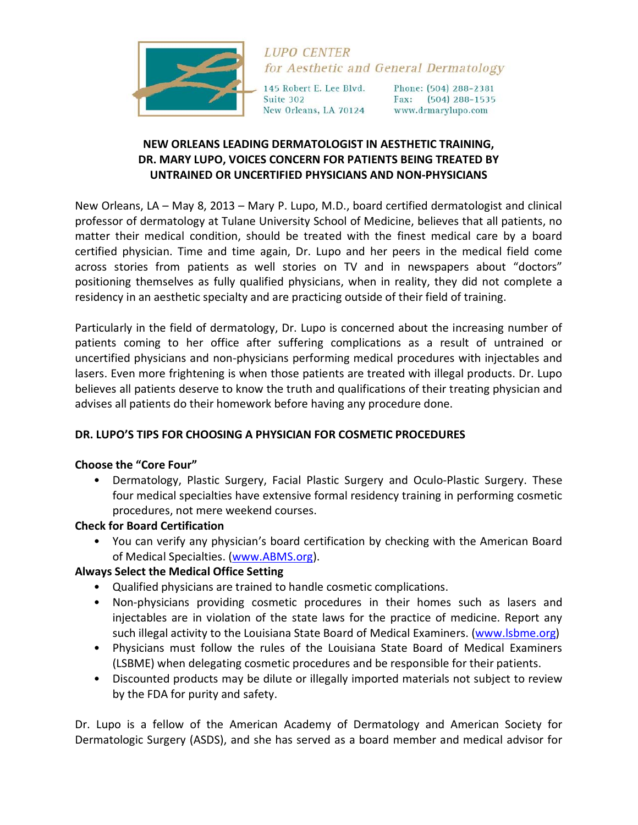

# **LUPO CENTER** for Aesthetic and General Dermatology

145 Robert E. Lee Blvd. Suite 302 New Orleans, LA 70124

Phone: (504) 288-2381 Fax: (504) 288-1535 www.drmarylupo.com

## **NEW ORLEANS LEADING DERMATOLOGIST IN AESTHETIC TRAINING, DR. MARY LUPO, VOICES CONCERN FOR PATIENTS BEING TREATED BY UNTRAINED OR UNCERTIFIED PHYSICIANS AND NON-PHYSICIANS**

New Orleans, LA – May 8, 2013 – Mary P. Lupo, M.D., board certified dermatologist and clinical professor of dermatology at Tulane University School of Medicine, believes that all patients, no matter their medical condition, should be treated with the finest medical care by a board certified physician. Time and time again, Dr. Lupo and her peers in the medical field come across stories from patients as well stories on TV and in newspapers about "doctors" positioning themselves as fully qualified physicians, when in reality, they did not complete a residency in an aesthetic specialty and are practicing outside of their field of training.

Particularly in the field of dermatology, Dr. Lupo is concerned about the increasing number of patients coming to her office after suffering complications as a result of untrained or uncertified physicians and non-physicians performing medical procedures with injectables and lasers. Even more frightening is when those patients are treated with illegal products. Dr. Lupo believes all patients deserve to know the truth and qualifications of their treating physician and advises all patients do their homework before having any procedure done.

## **DR. LUPO'S TIPS FOR CHOOSING A PHYSICIAN FOR COSMETIC PROCEDURES**

## **Choose the "Core Four"**

• Dermatology, Plastic Surgery, Facial Plastic Surgery and Oculo-Plastic Surgery. These four medical specialties have extensive formal residency training in performing cosmetic procedures, not mere weekend courses.

## **Check for Board Certification**

• You can verify any physician's board certification by checking with the American Board of Medical Specialties. [\(www.ABMS.org\)](http://www.abms.org/).

## **Always Select the Medical Office Setting**

- Qualified physicians are trained to handle cosmetic complications.
- Non-physicians providing cosmetic procedures in their homes such as lasers and injectables are in violation of the state laws for the practice of medicine. Report any such illegal activity to the Louisiana State Board of Medical Examiners. [\(www.lsbme.org\)](http://www.lsbme.org/)
- Physicians must follow the rules of the Louisiana State Board of Medical Examiners (LSBME) when delegating cosmetic procedures and be responsible for their patients.
- Discounted products may be dilute or illegally imported materials not subject to review by the FDA for purity and safety.

Dr. Lupo is a fellow of the American Academy of Dermatology and American Society for Dermatologic Surgery (ASDS), and she has served as a board member and medical advisor for